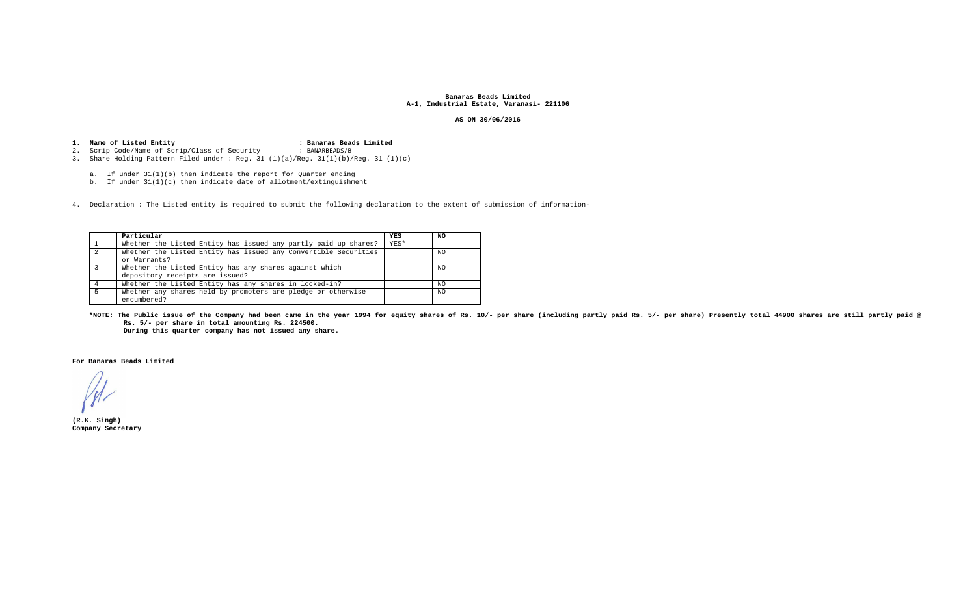### **Banaras Beads Limited A-1, Industrial Estate, Varanasi- 221106**

### **AS ON 30/06/2016**

# **1.Name of Listed Entity : Banaras Beads Limited**  2. Scrip Code/Name of Scrip/Class of Security : BANARBEADS/B

3. Share Holding Pattern Filed under : Reg. 31 (1)(a)/Reg. 31(1)(b)/Reg. 31 (1)(c)

a. If under 31(1)(b) then indicate the report for Quarter ending

b. If under 31(1)(c) then indicate date of allotment/extinguishment

4. Declaration : The Listed entity is required to submit the following declaration to the extent of submission of information-

| Particular                                                                                | YES  | NO. |
|-------------------------------------------------------------------------------------------|------|-----|
| Whether the Listed Entity has issued any partly paid up shares?                           | YES* |     |
| Whether the Listed Entity has issued any Convertible Securities<br>or Warrants?           |      | NO. |
| Whether the Listed Entity has any shares against which<br>depository receipts are issued? |      | NO. |
| Whether the Listed Entity has any shares in locked-in?                                    |      | NO. |
| Whether any shares held by promoters are pledge or otherwise<br>encumbered?               |      | NO. |

**\*NOTE: The Public issue of the Company had been came in the year 1994 for equity shares of Rs. 10/- per share (including partly paid Rs. 5/- per share) Presently total 44900 shares are still partly paid @Rs. 5/- per share in total amounting Rs. 224500.** 

**During this quarter company has not issued any share.** 

**For Banaras Beads Limited** 

**(R.K. Singh) Company Secretary**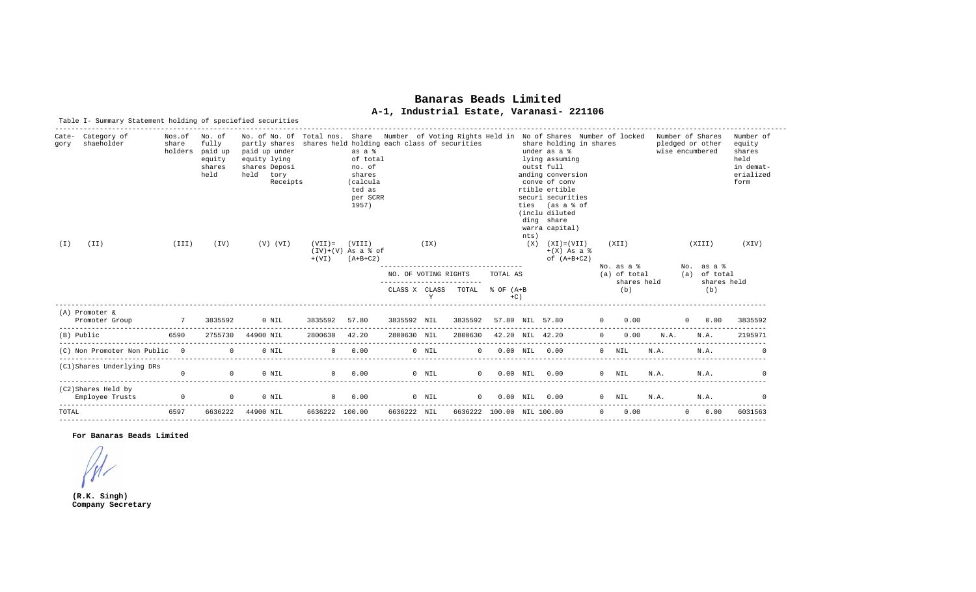# **Banaras Beads LimitedA-1, Industrial Estate, Varanasi- 221106**

|             | Table I- Summary Statement holding of speciefied securities |                                 |                                                              |                                                                                                                                                                                                                                                                                                                                             |                                                           |                                                                                                                                     |                      |         |                                               |                                   |        |                                                                                                                                                                                                                                                                                |          |                                                  |                                     |          |                                                                                  |             |
|-------------|-------------------------------------------------------------|---------------------------------|--------------------------------------------------------------|---------------------------------------------------------------------------------------------------------------------------------------------------------------------------------------------------------------------------------------------------------------------------------------------------------------------------------------------|-----------------------------------------------------------|-------------------------------------------------------------------------------------------------------------------------------------|----------------------|---------|-----------------------------------------------|-----------------------------------|--------|--------------------------------------------------------------------------------------------------------------------------------------------------------------------------------------------------------------------------------------------------------------------------------|----------|--------------------------------------------------|-------------------------------------|----------|----------------------------------------------------------------------------------|-------------|
| gory<br>(I) | Cate- Category of<br>shaeholder<br>(TI)                     | Nos.of No. of<br>share<br>(III) | fully<br>holders paid up<br>equity<br>shares<br>held<br>(TV) | No. of No. Of Total nos. Share Wumber of Voting Rights Held in No of Shares Number of locked Number of Shares<br>partly shares<br>paid up under<br>equity lying<br>shares Deposi<br>held<br>tory<br>Receipts<br>$(V)$ $(VI)$                                                                                                                | shares held holding each class of securities<br>$(VII) =$ | as a %<br>of total<br>no. of<br>shares<br>(calcula<br>ted as<br>per SCRR<br>1957)<br>(VIII)<br>$(IV)+(V)$ As a $§$ of<br>$(A+B+C2)$ |                      | (TX)    |                                               |                                   | nts)   | share holding in shares<br>under as a %<br>lying assuming<br>outst full<br>anding conversion<br>conve of conv<br>rtible ertible<br>securi securities<br>ties (as a % of<br>(inclu diluted<br>ding share<br>warra capital)<br>$(X)$ $(XI) = (VII)$<br>$+(X)$ As a $\frac{1}{6}$ |          | (XII)                                            | pledged or other<br>wise encumbered | (XIII)   | Number of<br>equity<br>shares<br>held<br>in demat-<br>erialized<br>form<br>(XIV) |             |
|             |                                                             |                                 |                                                              |                                                                                                                                                                                                                                                                                                                                             | $+$ ( $VI$ )                                              |                                                                                                                                     | NO. OF VOTING RIGHTS | Y       | ----------------------<br>CLASS X CLASS TOTAL | TOTAL AS<br>$\text{C}$ OF $(A+B)$ | $+C$ ) | of $(A+B+C2)$                                                                                                                                                                                                                                                                  |          | No. as a %<br>(a) of total<br>shares held<br>(b) |                                     |          | No. as a %<br>(a) of total<br>(b)                                                | shares held |
|             | (A) Promoter &                                              |                                 |                                                              |                                                                                                                                                                                                                                                                                                                                             |                                                           |                                                                                                                                     |                      |         |                                               |                                   |        |                                                                                                                                                                                                                                                                                |          |                                                  |                                     |          |                                                                                  |             |
|             | Promoter Group                                              | $\overline{7}$                  | 3835592                                                      | 0 NIL                                                                                                                                                                                                                                                                                                                                       |                                                           | 3835592 57.80                                                                                                                       |                      |         |                                               |                                   |        | 3835592 NIL 3835592 57.80 NIL 57.80 0 0.00                                                                                                                                                                                                                                     |          |                                                  |                                     |          | $0 \qquad 0.00$                                                                  | 3835592     |
|             | (B) Public                                                  | 6590                            |                                                              | 2755730 44900 NIL                                                                                                                                                                                                                                                                                                                           | 2800630 42.20                                             |                                                                                                                                     | 2800630 NIL          |         | 2800630 42.20 NIL 42.20                       |                                   |        |                                                                                                                                                                                                                                                                                |          | $0 \t 0.00$                                      | N.A.                                |          | N.A.                                                                             | 2195971     |
|             | (C) Non Promoter Non Public 0                               |                                 |                                                              | $\Omega$<br>$0$ NTT.                                                                                                                                                                                                                                                                                                                        |                                                           | $0 \t 0.00$                                                                                                                         |                      | $0$ NIL |                                               | $0$ $0.00$ NIL $0.00$             |        |                                                                                                                                                                                                                                                                                |          | $0$ NTL                                          | N.A.                                |          | N.A.                                                                             |             |
|             | (C1)Shares Underlying DRs                                   | $\Omega$                        | $\cap$                                                       | $0$ NTL                                                                                                                                                                                                                                                                                                                                     |                                                           | $0 \qquad 0.00$                                                                                                                     |                      | $0$ NTL |                                               | $0.00 N$ NTL $0.00$               |        |                                                                                                                                                                                                                                                                                |          | $0$ NTL                                          | N.A.                                |          | N.A.                                                                             |             |
|             | (C2)Shares Held by<br>Employee Trusts                       | $\overline{0}$                  |                                                              | 0 NIL<br>$\overline{0}$ and $\overline{0}$ and $\overline{0}$ and $\overline{0}$ and $\overline{0}$ and $\overline{0}$ and $\overline{0}$ and $\overline{0}$ and $\overline{0}$ and $\overline{0}$ and $\overline{0}$ and $\overline{0}$ and $\overline{0}$ and $\overline{0}$ and $\overline{0}$ and $\overline{0}$ and $\overline{0}$ and |                                                           | $0\qquad 0.00\qquad \qquad 0\quad \text{NIL}$                                                                                       |                      |         |                                               |                                   |        | $0$ 0.00 NIL 0.00                                                                                                                                                                                                                                                              |          | 0 NIL                                            | N.A.                                |          | N.A.                                                                             |             |
| TOTAL       |                                                             | 6597                            | 6636222                                                      | 44900 NIL                                                                                                                                                                                                                                                                                                                                   | 6636222 100.00                                            |                                                                                                                                     | 6636222 NIL          |         | 6636222 100.00 NIL 100.00                     |                                   |        |                                                                                                                                                                                                                                                                                | $\Omega$ | 0.00                                             |                                     | $\Omega$ | 0.00                                                                             | 6031563     |

**For Banaras Beads Limited** 

**(R.K. Singh) Company Secretary**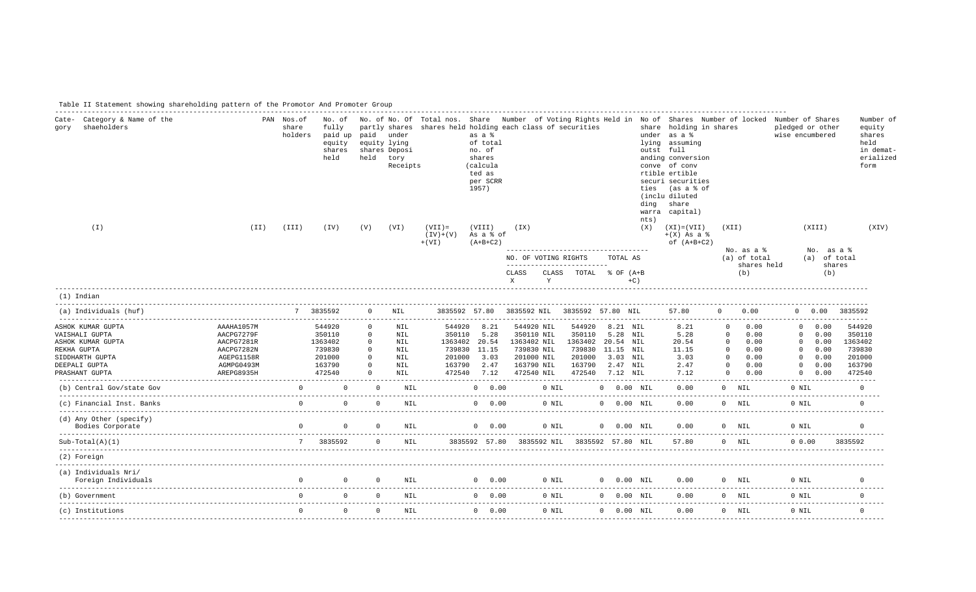Table II Statement showing shareholding pattern of the Promotor And Promoter Group

| Cate- Category & Name of the<br>shaeholders<br>qory                                                                           |                                                                                                | PAN Nos.of<br>share<br>holders | fully<br>paid up paid under<br>equity<br>shares<br>held             | equity lying<br>held                                                                    | partly shares<br>shares Deposi<br>tory<br>Receipts   | shares held holding each class of securities | as a %<br>of total<br>no. of<br>shares<br>(calcula<br>ted as<br>per SCRR<br>1957)          |                                         |                                                      |                                                     |                                                                                                          | ties<br>ding | No. of No. of No. Of Total nos. Share Number of Voting Rights Held in No of Shares Number of locked Number of Shares<br>share holding in shares<br>under as a %<br>lying assuming<br>outst full<br>anding conversion<br>conve of conv<br>rtible ertible<br>securi securities<br>(as a % of<br>(inclu diluted<br>share<br>warra capital) |                                                                                 |                                                      | pledged or other<br>wise encumbered      |                                                                                  | Number of<br>equity<br>shares<br>held<br>in demat-<br>erialized<br>form |
|-------------------------------------------------------------------------------------------------------------------------------|------------------------------------------------------------------------------------------------|--------------------------------|---------------------------------------------------------------------|-----------------------------------------------------------------------------------------|------------------------------------------------------|----------------------------------------------|--------------------------------------------------------------------------------------------|-----------------------------------------|------------------------------------------------------|-----------------------------------------------------|----------------------------------------------------------------------------------------------------------|--------------|-----------------------------------------------------------------------------------------------------------------------------------------------------------------------------------------------------------------------------------------------------------------------------------------------------------------------------------------|---------------------------------------------------------------------------------|------------------------------------------------------|------------------------------------------|----------------------------------------------------------------------------------|-------------------------------------------------------------------------|
| $(\top)$                                                                                                                      | (TI)                                                                                           | (III)                          | (TV)                                                                | (V)                                                                                     | (VI)                                                 | $(VII) =$<br>$(IV)+(V)$<br>$+$ ( $VI$ )      | (VIII)<br>As a % of<br>$(A+B+C2)$                                                          | (TX)                                    |                                                      |                                                     |                                                                                                          | nts)<br>(X)  | $(XI) = (VII)$<br>$+(X)$ As a $\frac{6}{9}$<br>of $(A+B+C2)$                                                                                                                                                                                                                                                                            | (XII)                                                                           |                                                      |                                          | (XIII)                                                                           | (XIV)                                                                   |
|                                                                                                                               |                                                                                                |                                |                                                                     |                                                                                         |                                                      |                                              |                                                                                            | NO. OF VOTING RIGHTS                    |                                                      | -------------------------------------               | TOTAL AS                                                                                                 |              |                                                                                                                                                                                                                                                                                                                                         |                                                                                 | No. as a %<br>(a) of total                           |                                          | No. as a %<br>(a) of total                                                       |                                                                         |
|                                                                                                                               |                                                                                                |                                |                                                                     |                                                                                         |                                                      |                                              |                                                                                            | CLASS<br>$\mathbf{x}$                   | Y                                                    | --------------------------<br>CLASS TOTAL % OF (A+B | $+C$ )                                                                                                   |              |                                                                                                                                                                                                                                                                                                                                         |                                                                                 | shares held<br>(b)                                   |                                          | shares<br>(b)                                                                    |                                                                         |
| $(1)$ Indian                                                                                                                  |                                                                                                |                                |                                                                     |                                                                                         |                                                      |                                              |                                                                                            |                                         |                                                      |                                                     |                                                                                                          |              |                                                                                                                                                                                                                                                                                                                                         |                                                                                 |                                                      |                                          |                                                                                  |                                                                         |
| (a) Individuals (huf)                                                                                                         |                                                                                                |                                | 7 3835592                                                           | $\Omega$                                                                                | NIL                                                  |                                              | 3835592 57.80                                                                              |                                         |                                                      | 3835592 NIL 3835592 57.80 NIL                       |                                                                                                          |              | 57.80                                                                                                                                                                                                                                                                                                                                   | $\Omega$                                                                        | 0.00                                                 |                                          | 0 0.00 3835592                                                                   |                                                                         |
| ASHOK KUMAR GUPTA<br>VAISHALI GUPTA<br>ASHOK KUMAR GUPTA<br>REKHA GUPTA<br>SIDDHARTH GUPTA<br>DEEPALI GUPTA<br>PRASHANT GUPTA | AAAHA1057M<br>AACPG7279F<br>AACPG7281R<br>AACPG7282N<br>AGEPG1158R<br>AGMPG0493M<br>AREPG8935H |                                | 544920<br>350110<br>1363402<br>739830<br>201000<br>163790<br>472540 | $\Omega$<br>$^{\circ}$<br>$\overline{0}$<br>$\Omega$<br>$\circ$<br>$\Omega$<br>$\Omega$ | NIL<br>NIL<br>NIL<br>NIL<br>NIL<br>NIL<br><b>NIL</b> | 201000<br>163790                             | 544920 8.21<br>350110 5.28<br>1363402 20.54<br>739830 11.15<br>3.03<br>2.47<br>472540 7.12 | 350110 NIL<br>1363402 NIL<br>201000 NIL | 544920 NIL<br>739830 NIL<br>163790 NIL<br>472540 NIL | 544920<br>350110<br>201000<br>163790                | 8.21 NIL<br>5.28 NIL<br>1363402 20.54 NIL<br>739830 11.15 NIL<br>3.03 NIL<br>2.47 NIL<br>472540 7.12 NIL |              | 8.21<br>5.28<br>20.54<br>11.15<br>3.03<br>2.47<br>7.12                                                                                                                                                                                                                                                                                  | $\Omega$<br>$\Omega$<br>$\circ$<br>$\Omega$<br>$\Omega$<br>$\Omega$<br>$\Omega$ | 0.00<br>0.00<br>0.00<br>0.00<br>0.00<br>0.00<br>0.00 | $\mathbf{0}$<br>$\mathbf{0}$<br>$\Omega$ | $0 \t 0.00$<br>0.00<br>$0 \t 0.00$<br>$0 \t 0.00$<br>0.00<br>0.00<br>$0 \t 0.00$ | 544920<br>350110<br>1363402<br>739830<br>201000<br>163790<br>472540     |
| (b) Central Gov/state Gov                                                                                                     |                                                                                                |                                | $\Omega$ and $\Omega$                                               | $\bigcap$                                                                               | NTL.                                                 |                                              | $0 \t 0.00$                                                                                |                                         | $0$ NIL                                              |                                                     | $0 0.00$ NIL                                                                                             |              | 0.00                                                                                                                                                                                                                                                                                                                                    |                                                                                 | $0$ NTL                                              | $0$ NTL                                  |                                                                                  | $\Omega$                                                                |
| (c) Financial Inst. Banks                                                                                                     |                                                                                                | $\Omega$                       |                                                                     | $\Omega$<br>$\Omega$                                                                    | <b>NIL</b>                                           |                                              | $0 \t 0.00$                                                                                |                                         | 0 NIL                                                |                                                     | $0 0.00$ NIL                                                                                             |              | 0.00                                                                                                                                                                                                                                                                                                                                    |                                                                                 | $0$ NIL                                              | 0 NIL                                    |                                                                                  | $\Omega$                                                                |
| (d) Any Other (specify)<br>Bodies Corporate                                                                                   |                                                                                                |                                | $\begin{matrix} 0 & 0 & 0 \end{matrix}$                             |                                                                                         | NIL                                                  |                                              | $0 \t 0.00$                                                                                |                                         | 0 NIL                                                |                                                     | 0 0.00 NIL                                                                                               |              | 0.00                                                                                                                                                                                                                                                                                                                                    |                                                                                 | $0$ NIL                                              | 0 NIL                                    |                                                                                  | $\overline{0}$                                                          |
| $Sub-Total(A)(1)$                                                                                                             |                                                                                                |                                | 7 3835592                                                           |                                                                                         | $\cap$<br>NTL.                                       |                                              |                                                                                            |                                         |                                                      | 3835592 57.80 3835592 NIL 3835592 57.80 NIL         |                                                                                                          |              | 57.80                                                                                                                                                                                                                                                                                                                                   |                                                                                 | $0$ NTL                                              | 0, 0.00                                  |                                                                                  | 3835592                                                                 |
| (2) Foreign                                                                                                                   |                                                                                                |                                |                                                                     |                                                                                         |                                                      |                                              |                                                                                            |                                         |                                                      |                                                     |                                                                                                          |              |                                                                                                                                                                                                                                                                                                                                         |                                                                                 |                                                      |                                          |                                                                                  |                                                                         |
| (a) Individuals Nri/<br>Foreign Individuals                                                                                   |                                                                                                | $\cap$                         | $\Omega$ $\Omega$                                                   |                                                                                         | NTL.                                                 |                                              | $0 \t 0.00$                                                                                |                                         | $0$ NIL                                              |                                                     | $0$ $0.00$ $\text{NIL}$                                                                                  |              | 0.00                                                                                                                                                                                                                                                                                                                                    |                                                                                 | $0$ NTL                                              | 0 NIL                                    |                                                                                  | $\Omega$                                                                |
| (b) Government                                                                                                                |                                                                                                | $\cap$                         |                                                                     | $\begin{matrix} 0 & 0 \\ 0 & 0 \end{matrix}$                                            | NTI.                                                 |                                              | $0 \t 0.00$                                                                                |                                         | $0$ NTL                                              |                                                     | $0 0.00$ NIL                                                                                             |              | 0.00                                                                                                                                                                                                                                                                                                                                    |                                                                                 | $0$ NTL                                              | $0$ NTL                                  |                                                                                  | $\Omega$                                                                |
| (c) Institutions                                                                                                              |                                                                                                |                                | $\begin{matrix} 0 & 0 \\ 0 & 0 \end{matrix}$                        |                                                                                         | $\Omega$<br>NIL                                      | $0 \t 0.00$                                  |                                                                                            |                                         |                                                      | $0$ NIL $0$                                         | $0$ $0.00$ $\text{NIL}$                                                                                  |              | 0.00                                                                                                                                                                                                                                                                                                                                    |                                                                                 | $0$ NIL                                              | 0 NIL                                    |                                                                                  | $\Omega$                                                                |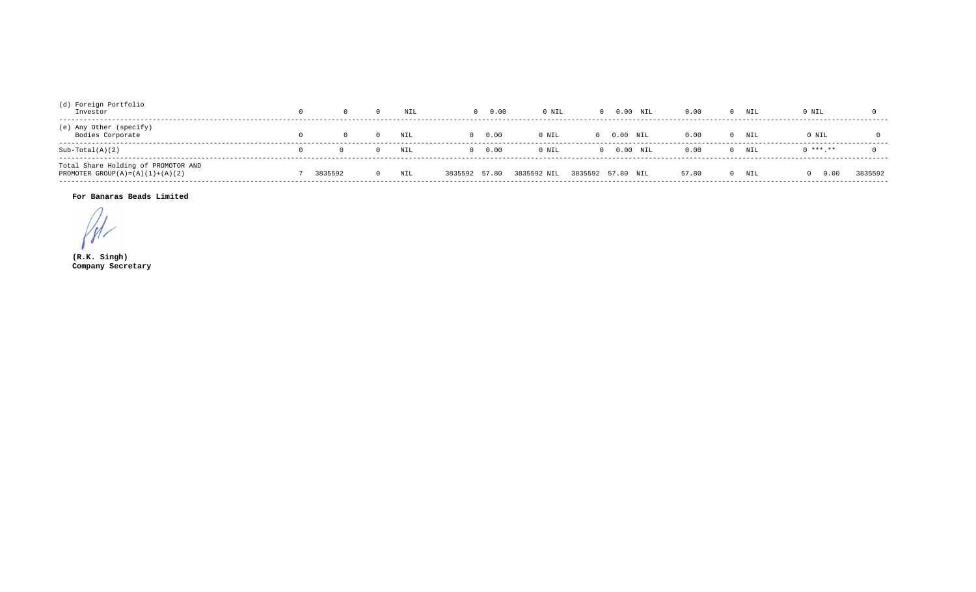| (d) Foreign Portfolio<br>Investor                                               |         | NIL | 0.00             | 0 NIL       | $0$ $0.00$ $\text{NIL}$ | 0.00  |      | NIL | 0 NIL     |         |
|---------------------------------------------------------------------------------|---------|-----|------------------|-------------|-------------------------|-------|------|-----|-----------|---------|
| (e) Any Other (specify)<br>Bodies Corporate                                     |         | NIL | 0.00<br>$\Omega$ | 0 NIL       | $0.00$ NIL              |       | 0.00 | NIL | 0 NIL     |         |
| $Sub-Total(A)(2)$                                                               |         | NIL | 0.00<br>$\cap$   | 0 NIL       | $0$ $0.00$ $\text{NIL}$ |       | 0.00 | NIL | $0******$ |         |
| Total Share Holding of PROMOTOR AND<br>PROMOTER GROUP $(A) = (A) (1) + (A) (2)$ | 3835592 | NIL | 3835592 57.80    | 3835592 NIL | 3835592 57.80 NIL       | 57.80 |      | NIL | 0.00      | 3835592 |

## For Banaras Beads Limited

 $\sqrt{t}$ 

 $(R.K.$  Singh) Company Secretary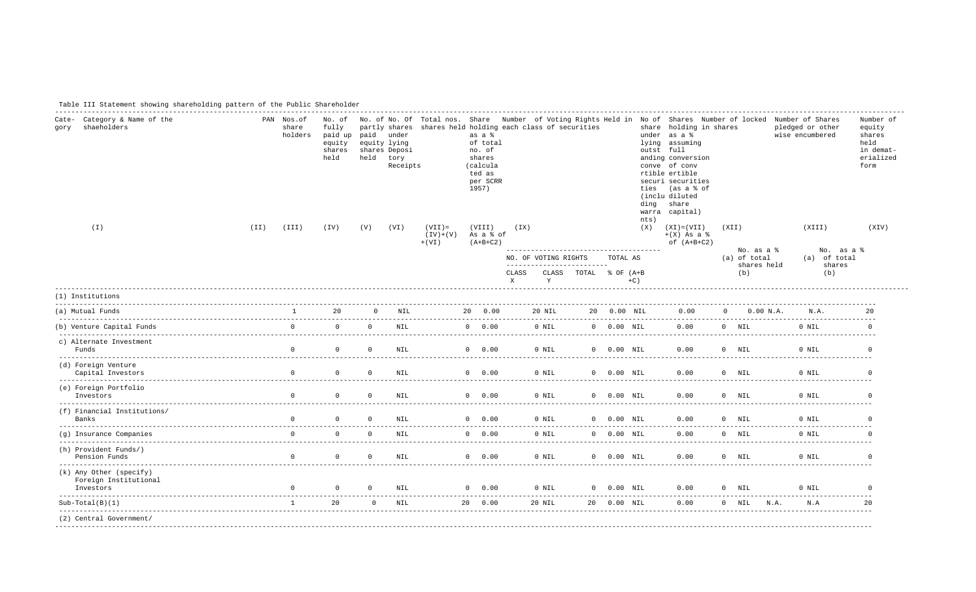| Table III Statement showing shareholding pattern of the Public Shareholder |
|----------------------------------------------------------------------------|
|----------------------------------------------------------------------------|

| Category & Name of the<br>Cate-<br>shaeholders<br>qory        |      | PAN Nos.of<br>share<br>holders | No. of<br>fully<br>paid up<br>equity<br>shares<br>held | paid<br>held | partly shares<br>under<br>equity lying<br>shares Deposi<br>tory<br>Receipts | shares held holding each class of securities | as a <sup>8</sup><br>of total<br>no. of<br>shares<br>(calcula<br>ted as<br>per SCRR<br>1957) |                       |                           |                                                     |                         | ding                          | share holding in shares<br>under as a %<br>lying assuming<br>outst full<br>anding conversion<br>conve of conv<br>rtible ertible<br>securi securities<br>ties (as a % of<br>(inclu diluted<br>share<br>warra capital) |                                                  | No. of No. Of Total nos. Share Number of Voting Rights Held in No of Shares Number of locked Number of Shares<br>pledged or other<br>wise encumbered | Number of<br>equity<br>shares<br>held<br>in demat-<br>erialized<br>form |
|---------------------------------------------------------------|------|--------------------------------|--------------------------------------------------------|--------------|-----------------------------------------------------------------------------|----------------------------------------------|----------------------------------------------------------------------------------------------|-----------------------|---------------------------|-----------------------------------------------------|-------------------------|-------------------------------|----------------------------------------------------------------------------------------------------------------------------------------------------------------------------------------------------------------------|--------------------------------------------------|------------------------------------------------------------------------------------------------------------------------------------------------------|-------------------------------------------------------------------------|
| $(\top)$                                                      | (II) | (III)                          | (TV)                                                   | (V)          | (VI)                                                                        | $(VII) =$<br>$(V) + (V)$<br>$+$ ( VI )       | (VIII)<br>As a % of<br>$(A+B+C2)$                                                            | (TX)                  |                           |                                                     |                         | nts)<br>(X)                   | $(XI) = (VII)$<br>$+(X)$ As a $\frac{1}{6}$<br>of $(A+B+C2)$                                                                                                                                                         | (XII)                                            | (XIII)                                                                                                                                               | (XIV)                                                                   |
|                                                               |      |                                |                                                        |              |                                                                             |                                              |                                                                                              | CLASS<br>$\mathbf{x}$ | NO. OF VOTING RIGHTS<br>Y | --------------------------<br>CLASS TOTAL % OF (A+B | TOTAL AS                | $+C$ )                        |                                                                                                                                                                                                                      | No. as a %<br>(a) of total<br>shares held<br>(b) | No. as a %<br>(a) of total<br>shares<br>(b)                                                                                                          |                                                                         |
| (1) Institutions                                              |      |                                |                                                        |              |                                                                             |                                              |                                                                                              |                       |                           |                                                     |                         |                               |                                                                                                                                                                                                                      |                                                  |                                                                                                                                                      |                                                                         |
| (a) Mutual Funds                                              |      | $1 - 1$                        | 20                                                     |              | $0$ NTL                                                                     |                                              | 20 0.00                                                                                      |                       | 20 NTL                    |                                                     | 20 0.00 NTL             |                               | 0.00                                                                                                                                                                                                                 | $\Omega$<br>0.00 N.A.                            | N.A.                                                                                                                                                 | 20                                                                      |
| (b) Venture Capital Funds                                     |      | $\mathsf{n}$                   | $\Omega$                                               | $\Omega$     |                                                                             | NTI.                                         | $0 \t 0.00$                                                                                  |                       | $0$ NTL                   |                                                     |                         | $0\quad 0.00\quad \text{NTL}$ | 0.00                                                                                                                                                                                                                 | $0$ NTL                                          | $0$ NTL                                                                                                                                              | $\Omega$                                                                |
| c) Alternate Investment<br>Funds                              |      | $\Omega$                       | $\Omega$                                               | $\Omega$     | <b>NIL</b>                                                                  |                                              | $0 \t 0.00$                                                                                  |                       | 0 NIL                     |                                                     | $0$ $0.00$ $\text{NIL}$ |                               | 0.00                                                                                                                                                                                                                 | $0$ NIL                                          | 0 NIL                                                                                                                                                | $\Omega$                                                                |
| (d) Foreign Venture<br>Capital Investors                      |      |                                | $\Omega$                                               | $\Omega$     | NIL                                                                         |                                              | $0 \t 0.00$                                                                                  |                       | 0 NIL                     |                                                     | $0$ $0.00$ $\text{NIL}$ |                               | 0.00                                                                                                                                                                                                                 | $0$ NTT.                                         | $0$ NTL                                                                                                                                              |                                                                         |
| (e) Foreign Portfolio<br>Investors                            |      | $\Omega$                       | $\Omega$                                               | $\Omega$     | NTT.                                                                        |                                              | $0 \t 0.00$                                                                                  |                       | $0$ NTL                   |                                                     | $0\quad 0.00 NTL$       |                               | 0.00                                                                                                                                                                                                                 | $0$ NTT.                                         | $0$ NTL                                                                                                                                              |                                                                         |
| (f) Financial Institutions/<br>Banks                          |      | $\Omega$                       | $\Omega$                                               | $\Omega$     | NTT.                                                                        |                                              | $0 \t 0.00$                                                                                  |                       | 0 NIL                     |                                                     | $0$ $0.00$ $NIL$        |                               | 0.00                                                                                                                                                                                                                 | $0$ NTL                                          | $0$ NTL                                                                                                                                              | $\Omega$                                                                |
| (g) Insurance Companies                                       |      |                                | $\begin{matrix} 0 & 0 \\ 0 & 0 \end{matrix}$           | $\Omega$     | NIL                                                                         |                                              | $0 \t 0.00$                                                                                  |                       | 0 NIL                     |                                                     | $0$ $0.00$ NIL          |                               | 0.00                                                                                                                                                                                                                 | $0$ NTL                                          | 0 NTL                                                                                                                                                | $\cap$                                                                  |
| (h) Provident Funds/)<br>Pension Funds                        |      | $\Omega$                       | $\Omega$                                               | $\Omega$     | NTT.                                                                        |                                              | $0 \t 0.00$                                                                                  |                       | $0$ NTL                   |                                                     | $0\quad 0.00 N$ TI      |                               | 0.00                                                                                                                                                                                                                 | $0$ NTT.                                         | $0$ NTL                                                                                                                                              | $\Omega$                                                                |
| (k) Any Other (specify)<br>Foreign Institutional<br>Investors |      | $\mathsf{n}$                   | $\overline{0}$                                         | $\Omega$     | NIL                                                                         |                                              | $0 \t 0.00$                                                                                  |                       | 0 NIL                     |                                                     | $0$ $0.00$ $NIL$        |                               | 0.00                                                                                                                                                                                                                 | $0$ NIL                                          | $0$ NTL                                                                                                                                              | $\Omega$                                                                |
| $Sub-Total(B)(1)$                                             |      | 1                              | 20                                                     |              | $0$ NTT.                                                                    |                                              | 20 0.00                                                                                      |                       | 20 NTL                    |                                                     | 20 0.00 NTL             |                               | 0.00                                                                                                                                                                                                                 | $0$ NIL N.A.                                     | N.A                                                                                                                                                  |                                                                         |
| (2) Central Government/                                       |      |                                |                                                        |              |                                                                             |                                              |                                                                                              |                       |                           |                                                     |                         |                               |                                                                                                                                                                                                                      |                                                  |                                                                                                                                                      |                                                                         |
|                                                               |      |                                |                                                        |              |                                                                             |                                              |                                                                                              |                       |                           |                                                     |                         |                               |                                                                                                                                                                                                                      |                                                  |                                                                                                                                                      |                                                                         |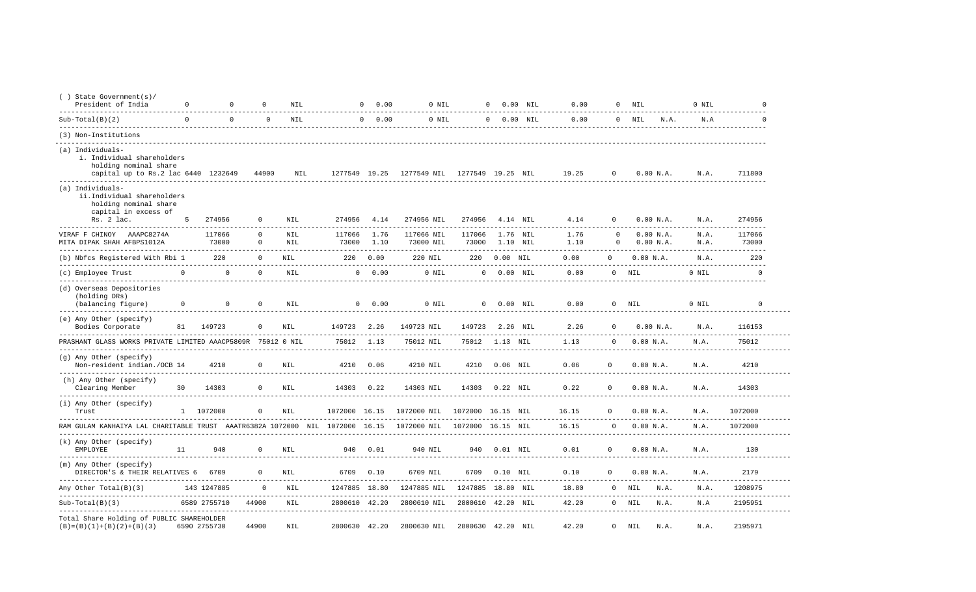| $( )$ State Government(s)/<br>President of India                                                               | $\circ$  | $\Omega$        | $\Omega$                | NIL                                      |                 | $\Omega$<br>0.00 | 0 NIL                   |                   | $\circ$        | $0.00$ NIL           | 0.00                | $\mathbf{0}$         | NIL                    | 0 NIL                  | $\cap$                |
|----------------------------------------------------------------------------------------------------------------|----------|-----------------|-------------------------|------------------------------------------|-----------------|------------------|-------------------------|-------------------|----------------|----------------------|---------------------|----------------------|------------------------|------------------------|-----------------------|
| $Sub-Total(B)(2)$                                                                                              | $\Omega$ | $\Omega$        | $\Omega$                | <b>NIL</b>                               |                 | $0 \t 0.00$      | 0 NIL                   |                   | 0 0.00 NIL     |                      | 0.00                |                      | $0$ NIL<br>N.A.        | N.A                    | $\Omega$              |
| (3) Non-Institutions                                                                                           |          |                 |                         |                                          |                 |                  |                         |                   |                |                      |                     |                      |                        |                        |                       |
| (a) Individuals-<br>i. Individual shareholders<br>holding nominal share<br>capital up to Rs.2 lac 6440 1232649 |          |                 | 44900                   | NIL                                      | 1277549 19.25   |                  | 1277549 NIL             | 1277549 19.25 NIL |                |                      | 19.25               | $\mathbf 0$          | 0.00 N.A.              | N.A.                   | 711800                |
| (a) Individuals-<br>ii.Individual shareholders<br>holding nominal share<br>capital in excess of                |          |                 |                         |                                          |                 |                  |                         |                   |                |                      |                     |                      |                        |                        |                       |
| Rs. 2 lac.                                                                                                     | 5        | 274956          | $^{\circ}$              | NIL                                      | 274956          | 4.14             | 274956 NIL              | 274956            |                | 4.14 NIL             | 4.14                | $\mathbf{0}$         | 0.00 N.A.              | N.A.                   | 274956                |
| VIRAF F CHINOY AAAPC8274A<br>MITA DIPAK SHAH AFBPS1012A                                                        |          | 117066<br>73000 | $\mathbf 0$<br>$\Omega$ | <b>NIL</b><br>NTT.                       | 117066<br>73000 | 1.76<br>1.10     | 117066 NIL<br>73000 NIL | 117066<br>73000   |                | 1.76 NIL<br>1.10 NTL | 1.76<br>1.10        | $\Omega$<br>$\Omega$ | 0.00 N.A.<br>0.00 N.A. | N.A.<br>N.A.           | 117066<br>73000       |
| (b) Nbfcs Registered With Rbi 1                                                                                |          | 220             | $\Omega$                | NIL                                      | 220             | 0.00             | 220 NIL                 | 220               | $0.00$ NIL     |                      | 0.00                | $\Omega$             | 0.00 N.A.              | N.A.                   | 220                   |
| (c) Employee Trust                                                                                             | $\Omega$ | $\Omega$        | $\mathbf 0$             | <b>NIL</b>                               | $\mathbf{0}$    | 0.00             | 0 NIL                   | $\mathbf 0$       | $0.00$ NIL     |                      | -------<br>0.00     |                      | $0$ NIL                | $- - - - - -$<br>0 NIL | ---------<br>$\Omega$ |
| -------------------<br>(d) Overseas Depositories<br>(holding DRs)<br>(balancing figure)                        | 0        | $\circ$         | $^{\circ}$              | . _ _ _ _ _ _ _ _ _ _ _ _ _ _ _ _<br>NIL |                 | $0 \t 0.00$      | 0 NIL                   |                   | 0 0.00 NIL     |                      | $- - - - -$<br>0.00 |                      | $0$ NIL                | 0 NIL                  | $\mathbf 0$           |
| (e) Any Other (specify)<br>Bodies Corporate                                                                    | 81       | 149723          | $^{\circ}$              | <b>NIL</b>                               | 149723          | 2.26             | 149723 NIL              | 149723            |                | 2.26 NIL             | 2.26                | $\Omega$             | 0.00 N.A.              | N.A.                   | 116153                |
| PRASHANT GLASS WORKS PRIVATE LIMITED AAACP5809R 75012 0 NIL                                                    |          |                 |                         |                                          | 75012           | 1.13             | 75012 NIL               |                   | 75012 1.13 NIL |                      | 1.13                | $\Omega$             | 0.00 N.A.              | N.A.                   | 75012                 |
| (g) Any Other (specify)<br>Non-resident indian./OCB 14                                                         |          | 4210            | $^{\circ}$              | <b>NIL</b>                               | 4210            | 0.06             | 4210 NIL                | 4210              | $0.06$ NIL     |                      | 0.06                | $\Omega$             | 0.00 N.A.              | N.A.                   | 4210                  |
| ----------------<br>(h) Any Other (specify)<br>Clearing Member<br>--------------                               | 30       | 14303           | $^{\circ}$              | NIL                                      | 14303           | 0.22             | 14303 NIL               | 14303             | $0.22$ NIL     |                      | 0.22                | $\mathbf 0$          | 0.00 N.A.              | N.A.                   | 14303                 |
| (i) Any Other (specify)<br>Trust                                                                               |          | 1 1072000       | 0                       | $\texttt{NIL}$                           | 1072000 16.15   |                  | 1072000 NIL             | 1072000 16.15     |                | NIL                  | 16.15               | $\mathbf{0}$         | 0.00 N.A.              | N.A.                   | 1072000               |
| RAM GULAM KANHAIYA LAL CHARITABLE TRUST AAATR6382A 1072000                                                     |          |                 |                         | NIL                                      | 1072000         | 16.15            | 1072000 NIL             | 1072000 16.15     |                | NIL                  | 16.15               | $\Omega$             | 0.00 N.A.              | N.A.                   | 1072000               |
| (k) Any Other (specify)<br><b>EMPLOYEE</b>                                                                     | 11       | 940             | $\Omega$                | <b>NIL</b>                               | 940             | 0.01             | 940 NIL                 | 940               | $0.01$ NIL     |                      | 0.01                | $\Omega$             | 0.00 N.A.              | N.A.                   | 130                   |
| (m) Any Other (specify)<br>DIRECTOR'S & THEIR RELATIVES 6                                                      |          | 6709            | $^{\circ}$              | NIL                                      | 6709            | 0.10             | 6709 NIL                | 6709              | $0.10$ NIL     |                      | 0.10<br>-------     | $\Omega$             | 0.00 N.A.              | N.A.<br>$- - - - -$    | 2179<br>$- - - - - -$ |
| Any Other Total(B)(3)                                                                                          |          | 143 1247885     | $\Omega$                | NTT.                                     | 1247885 18.80   |                  | 1247885 NIL             | 1247885 18.80 NIL |                |                      | 18.80               |                      | $0$ NTL<br>N.A.        | N.A.                   | 1208975               |
| $Sub-Total(B)(3)$                                                                                              |          | 6589 2755710    | 44900                   | NIL                                      | 2800610 42.20   |                  | 2800610 NIL             | 2800610           | 42.20 NIL      |                      | 42.20               |                      | $0$ NIL<br>N.A.        | N.A                    | 2195951               |
| Total Share Holding of PUBLIC SHAREHOLDER<br>$(B) = (B) (1) + (B) (2) + (B) (3)$                               |          | 6590 2755730    | 44900                   | <b>NIL</b>                               | 2800630 42.20   |                  | 2800630 NIL             | 2800630 42.20 NIL |                |                      | 42.20               |                      | $0$ NIL<br>N.A.        | N.A.                   | 2195971               |